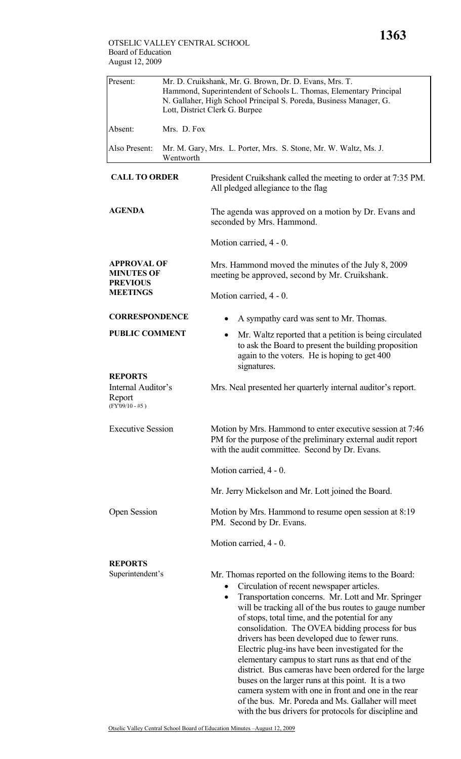| Present:                                                                                                                                                                                               | Mr. D. Cruikshank, Mr. G. Brown, Dr. D. Evans, Mrs. T.<br>Hammond, Superintendent of Schools L. Thomas, Elementary Principal<br>N. Gallaher, High School Principal S. Poreda, Business Manager, G.<br>Lott, District Clerk G. Burpee |                                                                                                                                                                                                                                                                                                                                                                                                                                                                                                                                                      |  |
|--------------------------------------------------------------------------------------------------------------------------------------------------------------------------------------------------------|--------------------------------------------------------------------------------------------------------------------------------------------------------------------------------------------------------------------------------------|------------------------------------------------------------------------------------------------------------------------------------------------------------------------------------------------------------------------------------------------------------------------------------------------------------------------------------------------------------------------------------------------------------------------------------------------------------------------------------------------------------------------------------------------------|--|
| Absent:                                                                                                                                                                                                | Mrs. D. Fox                                                                                                                                                                                                                          |                                                                                                                                                                                                                                                                                                                                                                                                                                                                                                                                                      |  |
| Also Present:                                                                                                                                                                                          | Wentworth                                                                                                                                                                                                                            | Mr. M. Gary, Mrs. L. Porter, Mrs. S. Stone, Mr. W. Waltz, Ms. J.                                                                                                                                                                                                                                                                                                                                                                                                                                                                                     |  |
| <b>CALL TO ORDER</b><br><b>AGENDA</b>                                                                                                                                                                  |                                                                                                                                                                                                                                      | President Cruikshank called the meeting to order at 7:35 PM.<br>All pledged allegiance to the flag                                                                                                                                                                                                                                                                                                                                                                                                                                                   |  |
|                                                                                                                                                                                                        |                                                                                                                                                                                                                                      | The agenda was approved on a motion by Dr. Evans and<br>seconded by Mrs. Hammond.                                                                                                                                                                                                                                                                                                                                                                                                                                                                    |  |
|                                                                                                                                                                                                        |                                                                                                                                                                                                                                      | Motion carried, 4 - 0.                                                                                                                                                                                                                                                                                                                                                                                                                                                                                                                               |  |
| <b>APPROVAL OF</b><br><b>MINUTES OF</b><br><b>PREVIOUS</b><br><b>MEETINGS</b><br><b>CORRESPONDENCE</b><br><b>PUBLIC COMMENT</b><br><b>REPORTS</b><br>Internal Auditor's<br>Report<br>$(FY'09/10 - #5)$ |                                                                                                                                                                                                                                      | Mrs. Hammond moved the minutes of the July 8, 2009<br>meeting be approved, second by Mr. Cruikshank.                                                                                                                                                                                                                                                                                                                                                                                                                                                 |  |
|                                                                                                                                                                                                        |                                                                                                                                                                                                                                      | Motion carried, 4 - 0.                                                                                                                                                                                                                                                                                                                                                                                                                                                                                                                               |  |
|                                                                                                                                                                                                        |                                                                                                                                                                                                                                      | A sympathy card was sent to Mr. Thomas.                                                                                                                                                                                                                                                                                                                                                                                                                                                                                                              |  |
|                                                                                                                                                                                                        |                                                                                                                                                                                                                                      | Mr. Waltz reported that a petition is being circulated<br>$\bullet$<br>to ask the Board to present the building proposition<br>again to the voters. He is hoping to get 400<br>signatures.                                                                                                                                                                                                                                                                                                                                                           |  |
|                                                                                                                                                                                                        |                                                                                                                                                                                                                                      | Mrs. Neal presented her quarterly internal auditor's report.                                                                                                                                                                                                                                                                                                                                                                                                                                                                                         |  |
| <b>Executive Session</b>                                                                                                                                                                               |                                                                                                                                                                                                                                      | Motion by Mrs. Hammond to enter executive session at 7:46<br>PM for the purpose of the preliminary external audit report<br>with the audit committee. Second by Dr. Evans.                                                                                                                                                                                                                                                                                                                                                                           |  |
|                                                                                                                                                                                                        |                                                                                                                                                                                                                                      | Motion carried, 4 - 0.                                                                                                                                                                                                                                                                                                                                                                                                                                                                                                                               |  |
|                                                                                                                                                                                                        |                                                                                                                                                                                                                                      | Mr. Jerry Mickelson and Mr. Lott joined the Board.                                                                                                                                                                                                                                                                                                                                                                                                                                                                                                   |  |
| <b>Open Session</b>                                                                                                                                                                                    |                                                                                                                                                                                                                                      | Motion by Mrs. Hammond to resume open session at 8:19<br>PM. Second by Dr. Evans.                                                                                                                                                                                                                                                                                                                                                                                                                                                                    |  |
|                                                                                                                                                                                                        |                                                                                                                                                                                                                                      | Motion carried, 4 - 0.                                                                                                                                                                                                                                                                                                                                                                                                                                                                                                                               |  |
| <b>REPORTS</b><br>Superintendent's                                                                                                                                                                     |                                                                                                                                                                                                                                      | Mr. Thomas reported on the following items to the Board:<br>Circulation of recent newspaper articles.<br>Transportation concerns. Mr. Lott and Mr. Springer<br>٠<br>will be tracking all of the bus routes to gauge number<br>of stops, total time, and the potential for any<br>consolidation. The OVEA bidding process for bus<br>drivers has been developed due to fewer runs.<br>Electric plug-ins have been investigated for the<br>elementary campus to start runs as that end of the<br>district. Bus cameras have been ordered for the large |  |

buses on the larger runs at this point. It is a two camera system with one in front and one in the rear of the bus. Mr. Poreda and Ms. Gallaher will meet with the bus drivers for protocols for discipline and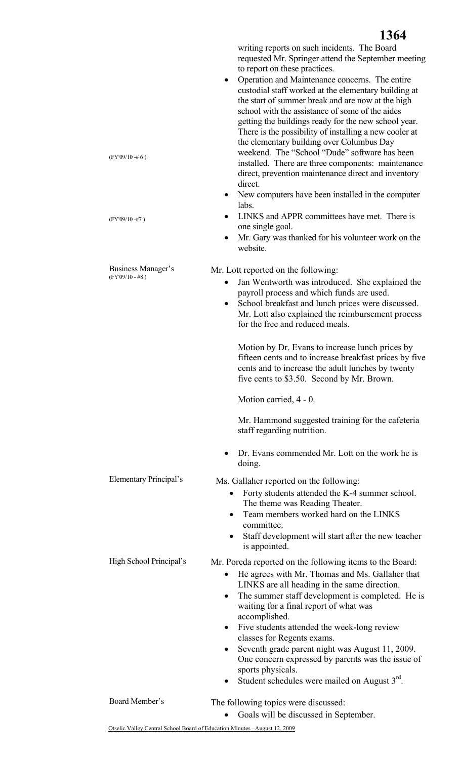writing reports on such incidents. The Board requested Mr. Springer attend the September meeting to report on these practices.

- Operation and Maintenance concerns. The entire custodial staff worked at the elementary building at the start of summer break and are now at the high school with the assistance of some of the aides getting the buildings ready for the new school year. There is the possibility of installing a new cooler at the elementary building over Columbus Day weekend. The "School "Dude" software has been installed. There are three components: maintenance direct, prevention maintenance direct and inventory direct.
- New computers have been installed in the computer labs.
- LINKS and APPR committees have met. There is one single goal.
- Mr. Gary was thanked for his volunteer work on the website.

Business Manager's (FY'09/10 - #8 )

Elementary Principal's

(FY'09/10 -# 6 )

(FY'09/10 -#7 )

Mr. Lott reported on the following:

- Jan Wentworth was introduced. She explained the payroll process and which funds are used.
- School breakfast and lunch prices were discussed. Mr. Lott also explained the reimbursement process for the free and reduced meals.

Motion by Dr. Evans to increase lunch prices by fifteen cents and to increase breakfast prices by five cents and to increase the adult lunches by twenty five cents to \$3.50. Second by Mr. Brown.

Motion carried, 4 - 0.

Mr. Hammond suggested training for the cafeteria staff regarding nutrition.

• Dr. Evans commended Mr. Lott on the work he is doing.

Ms. Gallaher reported on the following:

- Forty students attended the K-4 summer school. The theme was Reading Theater.
- Team members worked hard on the LINKS committee.
- Staff development will start after the new teacher is appointed.

High School Principal's Mr. Poreda reported on the following items to the Board:

- He agrees with Mr. Thomas and Ms. Gallaher that LINKS are all heading in the same direction.
- The summer staff development is completed. He is waiting for a final report of what was accomplished.
- Five students attended the week-long review classes for Regents exams.
- Seventh grade parent night was August 11, 2009. One concern expressed by parents was the issue of sports physicals.
- Student schedules were mailed on August  $3<sup>rd</sup>$ .

Board Member's The following topics were discussed:

• Goals will be discussed in September.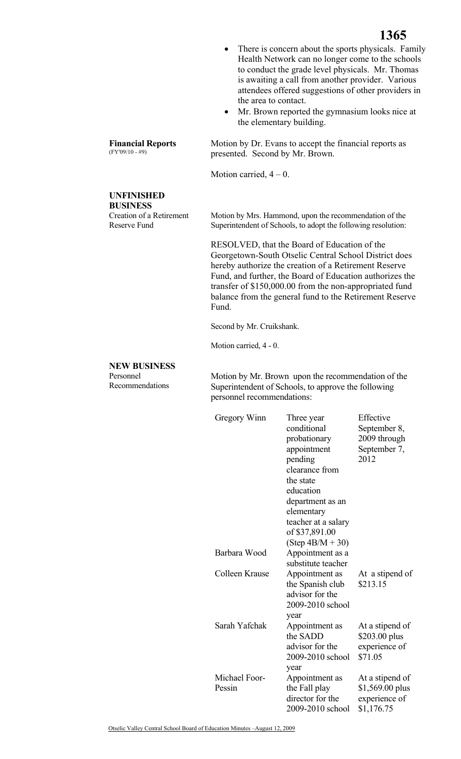- There is concern about the sports physicals. Family Health Network can no longer come to the schools to conduct the grade level physicals. Mr. Thomas is awaiting a call from another provider. Various attendees offered suggestions of other providers in the area to contact.
- Mr. Brown reported the gymnasium looks nice at the elementary building.

Motion by Dr. Evans to accept the financial reports as presented. Second by Mr. Brown.

Motion carried,  $4 - 0$ .

**Financial Reports**  (FY'09/10 - #9)

## **UNFINISHED BUSINESS**

Creation of a Retirement Reserve Fund

 Motion by Mrs. Hammond, upon the recommendation of the Superintendent of Schools, to adopt the following resolution:

RESOLVED, that the Board of Education of the Georgetown-South Otselic Central School District does hereby authorize the creation of a Retirement Reserve Fund, and further, the Board of Education authorizes the transfer of \$150,000.00 from the non-appropriated fund balance from the general fund to the Retirement Reserve Fund.

Second by Mr. Cruikshank.

Motion carried, 4 - 0.

## **NEW BUSINESS**

Personnel Recommendations Motion by Mr. Brown upon the recommendation of the Superintendent of Schools, to approve the following personnel recommendations:

| Gregory Winn            | Three year<br>conditional<br>probationary<br>appointment<br>pending<br>clearance from<br>the state<br>education<br>department as an<br>elementary<br>teacher at a salary<br>of \$37,891.00<br>$(Step 4B/M + 30)$ | Effective<br>September 8,<br>2009 through<br>September 7,<br>2012  |
|-------------------------|------------------------------------------------------------------------------------------------------------------------------------------------------------------------------------------------------------------|--------------------------------------------------------------------|
| Barbara Wood            | Appointment as a<br>substitute teacher                                                                                                                                                                           |                                                                    |
| Colleen Krause          | Appointment as<br>the Spanish club<br>advisor for the<br>2009-2010 school<br>year                                                                                                                                | At a stipend of<br>\$213.15                                        |
| Sarah Yafchak           | Appointment as<br>the SADD<br>advisor for the<br>2009-2010 school<br>year                                                                                                                                        | At a stipend of<br>\$203.00 plus<br>experience of<br>\$71.05       |
| Michael Foor-<br>Pessin | Appointment as<br>the Fall play<br>director for the<br>2009-2010 school                                                                                                                                          | At a stipend of<br>$$1,569.00$ plus<br>experience of<br>\$1,176.75 |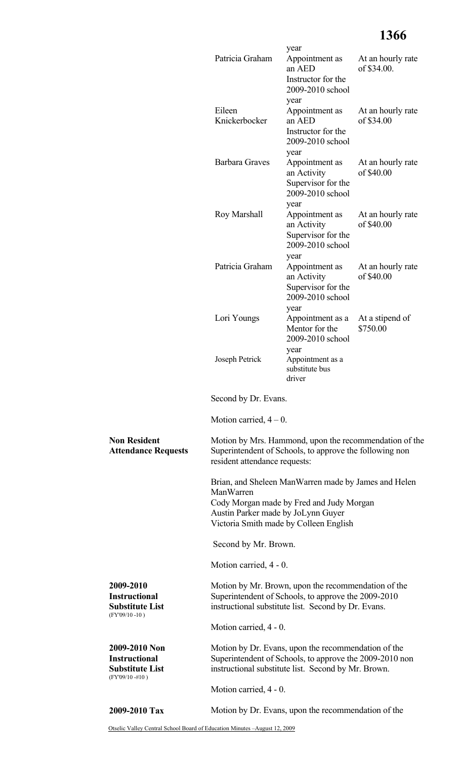## **1366**

|                                                                                       | Patricia Graham                                                                                                                                                       | year<br>Appointment as                                                          | At an hourly rate               |
|---------------------------------------------------------------------------------------|-----------------------------------------------------------------------------------------------------------------------------------------------------------------------|---------------------------------------------------------------------------------|---------------------------------|
|                                                                                       |                                                                                                                                                                       | an AED<br>Instructor for the<br>2009-2010 school                                | of \$34.00.                     |
|                                                                                       | Eileen<br>Knickerbocker                                                                                                                                               | year<br>Appointment as<br>an AED<br>Instructor for the<br>2009-2010 school      | At an hourly rate<br>of \$34.00 |
|                                                                                       | <b>Barbara Graves</b>                                                                                                                                                 | year<br>Appointment as<br>an Activity<br>Supervisor for the<br>2009-2010 school | At an hourly rate<br>of \$40.00 |
|                                                                                       | Roy Marshall                                                                                                                                                          | year<br>Appointment as<br>an Activity<br>Supervisor for the<br>2009-2010 school | At an hourly rate<br>of \$40.00 |
|                                                                                       | Patricia Graham                                                                                                                                                       | year<br>Appointment as<br>an Activity<br>Supervisor for the<br>2009-2010 school | At an hourly rate<br>of \$40.00 |
|                                                                                       | Lori Youngs                                                                                                                                                           | year<br>Appointment as a<br>Mentor for the<br>2009-2010 school                  | At a stipend of<br>\$750.00     |
|                                                                                       | Joseph Petrick                                                                                                                                                        | year<br>Appointment as a<br>substitute bus<br>driver                            |                                 |
|                                                                                       | Second by Dr. Evans.                                                                                                                                                  |                                                                                 |                                 |
|                                                                                       | Motion carried, $4-0$ .                                                                                                                                               |                                                                                 |                                 |
| <b>Non Resident</b><br><b>Attendance Requests</b>                                     | Motion by Mrs. Hammond, upon the recommendation of the<br>Superintendent of Schools, to approve the following non<br>resident attendance requests:                    |                                                                                 |                                 |
|                                                                                       | Brian, and Sheleen ManWarren made by James and Helen<br>ManWarren                                                                                                     |                                                                                 |                                 |
|                                                                                       | Cody Morgan made by Fred and Judy Morgan<br>Austin Parker made by JoLynn Guyer<br>Victoria Smith made by Colleen English                                              |                                                                                 |                                 |
|                                                                                       | Second by Mr. Brown.                                                                                                                                                  |                                                                                 |                                 |
|                                                                                       | Motion carried, 4 - 0.                                                                                                                                                |                                                                                 |                                 |
| 2009-2010<br><b>Instructional</b><br><b>Substitute List</b><br>$(FY'09/10 - 10)$      | Motion by Mr. Brown, upon the recommendation of the<br>Superintendent of Schools, to approve the 2009-2010<br>instructional substitute list. Second by Dr. Evans.     |                                                                                 |                                 |
|                                                                                       | Motion carried, 4 - 0.                                                                                                                                                |                                                                                 |                                 |
| 2009-2010 Non<br><b>Instructional</b><br><b>Substitute List</b><br>$(FY'09/10 - #10)$ | Motion by Dr. Evans, upon the recommendation of the<br>Superintendent of Schools, to approve the 2009-2010 non<br>instructional substitute list. Second by Mr. Brown. |                                                                                 |                                 |
|                                                                                       | Motion carried, 4 - 0.                                                                                                                                                |                                                                                 |                                 |
| 2009-2010 Tax                                                                         | Motion by Dr. Evans, upon the recommendation of the                                                                                                                   |                                                                                 |                                 |

Otselic Valley Central School Board of Education Minutes –August 12, 2009